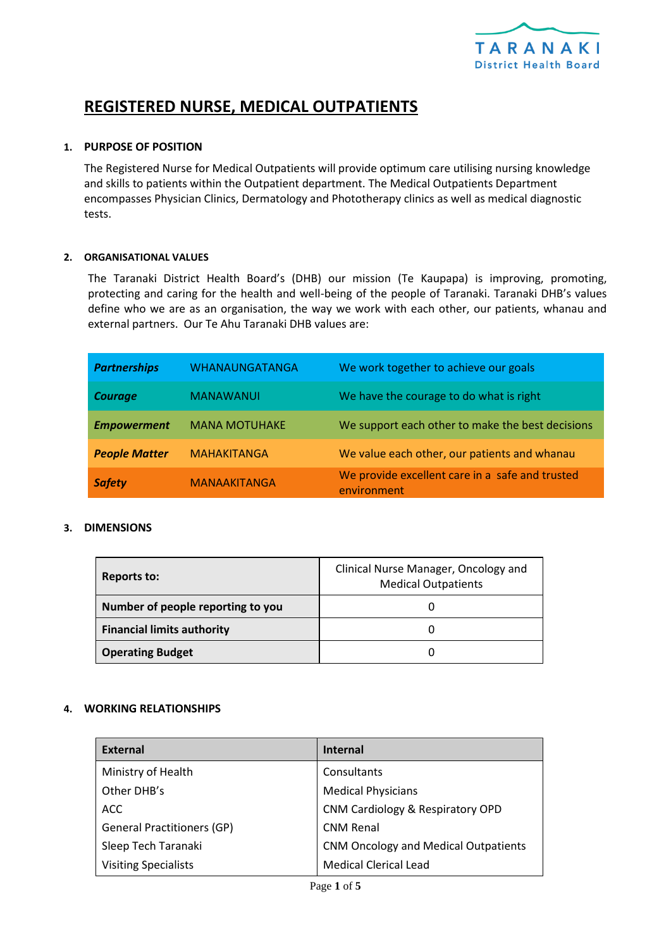

# **REGISTERED NURSE, MEDICAL OUTPATIENTS**

### **1. PURPOSE OF POSITION**

The Registered Nurse for Medical Outpatients will provide optimum care utilising nursing knowledge and skills to patients within the Outpatient department. The Medical Outpatients Department encompasses Physician Clinics, Dermatology and Phototherapy clinics as well as medical diagnostic tests.

#### **2. ORGANISATIONAL VALUES**

The Taranaki District Health Board's (DHB) our mission (Te Kaupapa) is improving, promoting, protecting and caring for the health and well-being of the people of Taranaki. Taranaki DHB's values define who we are as an organisation, the way we work with each other, our patients, whanau and external partners. Our Te Ahu Taranaki DHB values are:

| <b>Partnerships</b>  | <b>WHANAUNGATANGA</b> | We work together to achieve our goals                          |
|----------------------|-----------------------|----------------------------------------------------------------|
| <b>Courage</b>       | <b>MANAWANUI</b>      | We have the courage to do what is right                        |
| <b>Empowerment</b>   | <b>MANA MOTUHAKE</b>  | We support each other to make the best decisions               |
| <b>People Matter</b> | <b>MAHAKITANGA</b>    | We value each other, our patients and whanau                   |
| <b>Safety</b>        | <b>MANAAKITANGA</b>   | We provide excellent care in a safe and trusted<br>environment |

#### **3. DIMENSIONS**

| Reports to:                       | Clinical Nurse Manager, Oncology and<br><b>Medical Outpatients</b> |
|-----------------------------------|--------------------------------------------------------------------|
| Number of people reporting to you |                                                                    |
| <b>Financial limits authority</b> |                                                                    |
| <b>Operating Budget</b>           |                                                                    |

# **4. WORKING RELATIONSHIPS**

| <b>External</b>                   | <b>Internal</b>                             |
|-----------------------------------|---------------------------------------------|
| Ministry of Health                | Consultants                                 |
| Other DHB's                       | <b>Medical Physicians</b>                   |
| ACC.                              | CNM Cardiology & Respiratory OPD            |
| <b>General Practitioners (GP)</b> | <b>CNM Renal</b>                            |
| Sleep Tech Taranaki               | <b>CNM Oncology and Medical Outpatients</b> |
| <b>Visiting Specialists</b>       | <b>Medical Clerical Lead</b>                |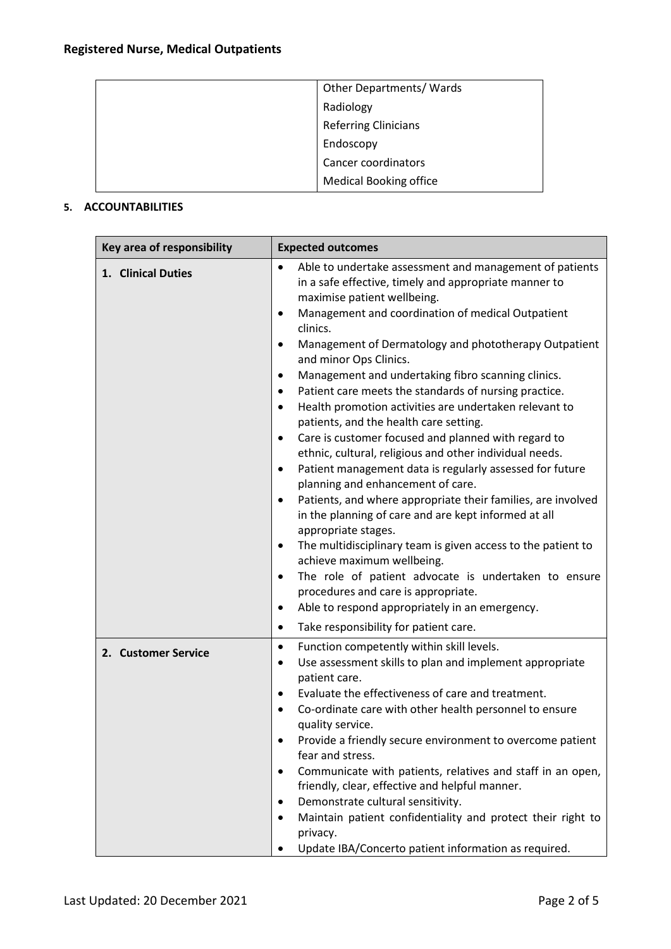| Other Departments/Wards       |
|-------------------------------|
| Radiology                     |
| <b>Referring Clinicians</b>   |
| Endoscopy                     |
| Cancer coordinators           |
| <b>Medical Booking office</b> |

# **5. ACCOUNTABILITIES**

| Key area of responsibility | <b>Expected outcomes</b>                                                                                                                                                                                                                                                                                                                                                                                                                                                                                                                                                                                                                                                                                                                                                                                                                                                                                                                                                                                                                                                                                                                                                                                                                                                                                   |
|----------------------------|------------------------------------------------------------------------------------------------------------------------------------------------------------------------------------------------------------------------------------------------------------------------------------------------------------------------------------------------------------------------------------------------------------------------------------------------------------------------------------------------------------------------------------------------------------------------------------------------------------------------------------------------------------------------------------------------------------------------------------------------------------------------------------------------------------------------------------------------------------------------------------------------------------------------------------------------------------------------------------------------------------------------------------------------------------------------------------------------------------------------------------------------------------------------------------------------------------------------------------------------------------------------------------------------------------|
| 1. Clinical Duties         | Able to undertake assessment and management of patients<br>$\bullet$<br>in a safe effective, timely and appropriate manner to<br>maximise patient wellbeing.<br>Management and coordination of medical Outpatient<br>$\bullet$<br>clinics.<br>Management of Dermatology and phototherapy Outpatient<br>$\bullet$<br>and minor Ops Clinics.<br>Management and undertaking fibro scanning clinics.<br>Patient care meets the standards of nursing practice.<br>Health promotion activities are undertaken relevant to<br>$\bullet$<br>patients, and the health care setting.<br>Care is customer focused and planned with regard to<br>ethnic, cultural, religious and other individual needs.<br>Patient management data is regularly assessed for future<br>$\bullet$<br>planning and enhancement of care.<br>Patients, and where appropriate their families, are involved<br>$\bullet$<br>in the planning of care and are kept informed at all<br>appropriate stages.<br>The multidisciplinary team is given access to the patient to<br>$\bullet$<br>achieve maximum wellbeing.<br>The role of patient advocate is undertaken to ensure<br>$\bullet$<br>procedures and care is appropriate.<br>Able to respond appropriately in an emergency.<br>$\bullet$<br>Take responsibility for patient care.<br>٠ |
| 2. Customer Service        | Function competently within skill levels.<br>$\bullet$<br>Use assessment skills to plan and implement appropriate<br>٠<br>patient care.<br>Evaluate the effectiveness of care and treatment.<br>$\bullet$<br>Co-ordinate care with other health personnel to ensure<br>$\bullet$<br>quality service.<br>Provide a friendly secure environment to overcome patient<br>fear and stress.<br>Communicate with patients, relatives and staff in an open,<br>$\bullet$<br>friendly, clear, effective and helpful manner.<br>Demonstrate cultural sensitivity.<br>Maintain patient confidentiality and protect their right to<br>privacy.<br>Update IBA/Concerto patient information as required.                                                                                                                                                                                                                                                                                                                                                                                                                                                                                                                                                                                                                 |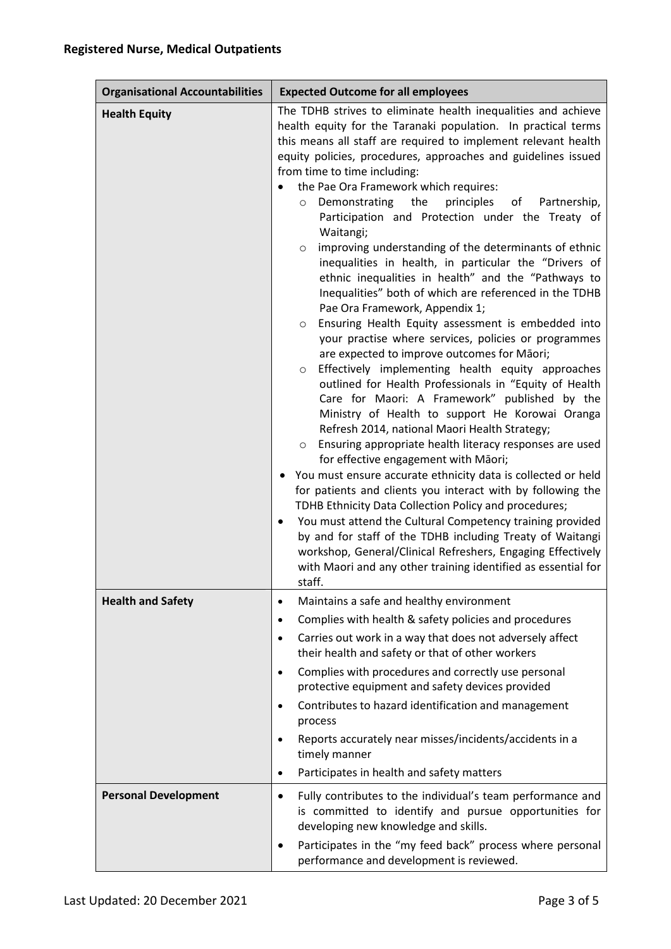| <b>Organisational Accountabilities</b> | <b>Expected Outcome for all employees</b>                                                                                                                                                                                                                                                                                                                                                                                                                                                                                                                                                                                                                                                                                                                                                                                                                                                                                                                                                                                                                                                                                                                                                                                                                                                                                                                                                                                                                                                                                                                                                                                                                                                                                                                                                           |
|----------------------------------------|-----------------------------------------------------------------------------------------------------------------------------------------------------------------------------------------------------------------------------------------------------------------------------------------------------------------------------------------------------------------------------------------------------------------------------------------------------------------------------------------------------------------------------------------------------------------------------------------------------------------------------------------------------------------------------------------------------------------------------------------------------------------------------------------------------------------------------------------------------------------------------------------------------------------------------------------------------------------------------------------------------------------------------------------------------------------------------------------------------------------------------------------------------------------------------------------------------------------------------------------------------------------------------------------------------------------------------------------------------------------------------------------------------------------------------------------------------------------------------------------------------------------------------------------------------------------------------------------------------------------------------------------------------------------------------------------------------------------------------------------------------------------------------------------------------|
| <b>Health Equity</b>                   | The TDHB strives to eliminate health inequalities and achieve<br>health equity for the Taranaki population. In practical terms<br>this means all staff are required to implement relevant health<br>equity policies, procedures, approaches and guidelines issued<br>from time to time including:<br>the Pae Ora Framework which requires:<br>the<br>principles<br>Demonstrating<br>of<br>Partnership,<br>$\circ$<br>Participation and Protection under the Treaty of<br>Waitangi;<br>improving understanding of the determinants of ethnic<br>$\circ$<br>inequalities in health, in particular the "Drivers of<br>ethnic inequalities in health" and the "Pathways to<br>Inequalities" both of which are referenced in the TDHB<br>Pae Ora Framework, Appendix 1;<br>Ensuring Health Equity assessment is embedded into<br>$\circ$<br>your practise where services, policies or programmes<br>are expected to improve outcomes for Māori;<br>Effectively implementing health equity approaches<br>$\circ$<br>outlined for Health Professionals in "Equity of Health<br>Care for Maori: A Framework" published by the<br>Ministry of Health to support He Korowai Oranga<br>Refresh 2014, national Maori Health Strategy;<br>Ensuring appropriate health literacy responses are used<br>$\circ$<br>for effective engagement with Māori;<br>You must ensure accurate ethnicity data is collected or held<br>for patients and clients you interact with by following the<br>TDHB Ethnicity Data Collection Policy and procedures;<br>You must attend the Cultural Competency training provided<br>by and for staff of the TDHB including Treaty of Waitangi<br>workshop, General/Clinical Refreshers, Engaging Effectively<br>with Maori and any other training identified as essential for<br>staff. |
| <b>Health and Safety</b>               | Maintains a safe and healthy environment<br>$\bullet$<br>Complies with health & safety policies and procedures<br>$\bullet$<br>Carries out work in a way that does not adversely affect<br>$\bullet$<br>their health and safety or that of other workers<br>Complies with procedures and correctly use personal<br>$\bullet$<br>protective equipment and safety devices provided<br>Contributes to hazard identification and management<br>$\bullet$<br>process<br>Reports accurately near misses/incidents/accidents in a<br>timely manner<br>Participates in health and safety matters<br>$\bullet$                                                                                                                                                                                                                                                                                                                                                                                                                                                                                                                                                                                                                                                                                                                                                                                                                                                                                                                                                                                                                                                                                                                                                                                               |
| <b>Personal Development</b>            | Fully contributes to the individual's team performance and<br>$\bullet$<br>is committed to identify and pursue opportunities for<br>developing new knowledge and skills.<br>Participates in the "my feed back" process where personal<br>$\bullet$<br>performance and development is reviewed.                                                                                                                                                                                                                                                                                                                                                                                                                                                                                                                                                                                                                                                                                                                                                                                                                                                                                                                                                                                                                                                                                                                                                                                                                                                                                                                                                                                                                                                                                                      |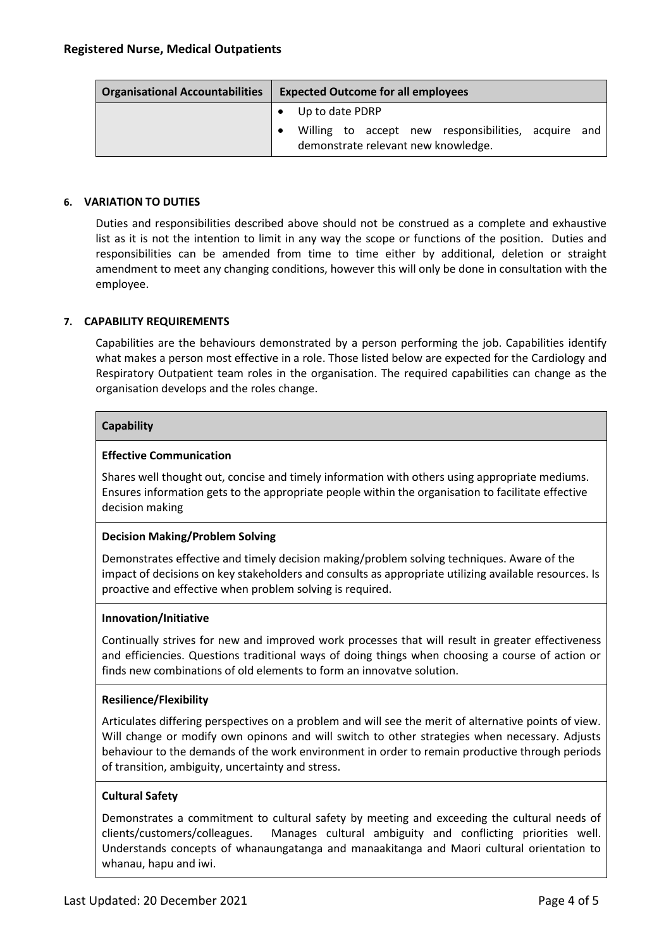| <b>Organisational Accountabilities</b> | <b>Expected Outcome for all employees</b>                                                                     |  |
|----------------------------------------|---------------------------------------------------------------------------------------------------------------|--|
|                                        | Up to date PDRP<br>Willing to accept new responsibilities, acquire and<br>demonstrate relevant new knowledge. |  |

## **6. VARIATION TO DUTIES**

Duties and responsibilities described above should not be construed as a complete and exhaustive list as it is not the intention to limit in any way the scope or functions of the position. Duties and responsibilities can be amended from time to time either by additional, deletion or straight amendment to meet any changing conditions, however this will only be done in consultation with the employee.

## **7. CAPABILITY REQUIREMENTS**

Capabilities are the behaviours demonstrated by a person performing the job. Capabilities identify what makes a person most effective in a role. Those listed below are expected for the Cardiology and Respiratory Outpatient team roles in the organisation. The required capabilities can change as the organisation develops and the roles change.

#### **Capability**

#### **Effective Communication**

Shares well thought out, concise and timely information with others using appropriate mediums. Ensures information gets to the appropriate people within the organisation to facilitate effective decision making

#### **Decision Making/Problem Solving**

Demonstrates effective and timely decision making/problem solving techniques. Aware of the impact of decisions on key stakeholders and consults as appropriate utilizing available resources. Is proactive and effective when problem solving is required.

#### **Innovation/Initiative**

Continually strives for new and improved work processes that will result in greater effectiveness and efficiencies. Questions traditional ways of doing things when choosing a course of action or finds new combinations of old elements to form an innovatve solution.

#### **Resilience/Flexibility**

Articulates differing perspectives on a problem and will see the merit of alternative points of view. Will change or modify own opinons and will switch to other strategies when necessary. Adjusts behaviour to the demands of the work environment in order to remain productive through periods of transition, ambiguity, uncertainty and stress.

#### **Cultural Safety**

Demonstrates a commitment to cultural safety by meeting and exceeding the cultural needs of clients/customers/colleagues. Manages cultural ambiguity and conflicting priorities well. Understands concepts of whanaungatanga and manaakitanga and Maori cultural orientation to whanau, hapu and iwi.